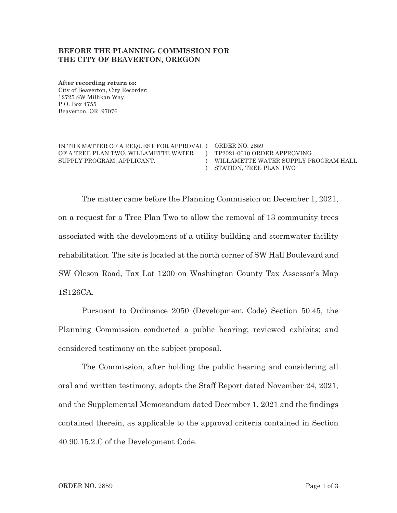## BEFORE THE PLANNING COMMISSION FOR **THE CITY OF BEAVERTON, OREGON**

**After recording return to:** City of Beaverton, City Recorder: 12725 SW Millikan Way P.O. Box 4755 Beaverton, OR 97076

IN THE MATTER OF A REQUEST FOR APPROVAL ORDER NO. 2859 OF A TREE PLAN TWO, WILLAMETTE WATER SUPPLY PROGRAM, APPLICANT.

 $\Gamma$   $TP2021-0010$  ORDER APPROVING ) STATION, TREE PLAN TWO WILLAMETTE WATER SUPPLY PROGRAM HALL

The matter came before the Planning Commission on December 1, 2021, on a request for a Tree Plan Two to allow the removal of 13 community trees associated with the development of a utility building and stormwater facility rehabilitation. The site is located at the north corner of SW Hall Boulevard and SW Oleson Road, Tax Lot 1200 on Washington County Tax Assessor's Map 1S126CA.

 $\mathcal{C}$ 

Pursuant to Ordinance 2050 (Development Code) Section 50.45, the Planning Commission conducted a public hearing; reviewed exhibits; and considered testimony on the subject proposal.

The Commission, after holding the public hearing and considering all oral and written testimony, adopts the Staff Report dated November 24, 2021, and the Supplemental Memorandum dated December 1, 2021 and the findings contained therein, as applicable to the approval criteria contained in Section 40.90.15.2.C of the Development Code.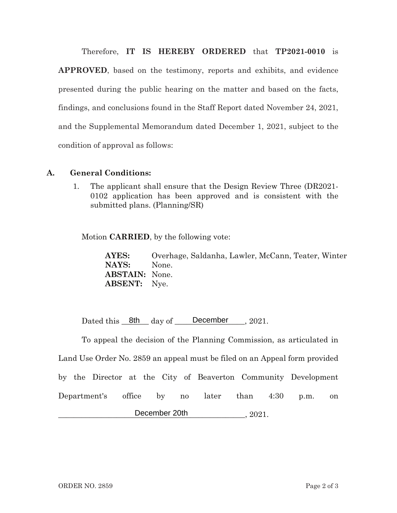Therefore, IT IS HEREBY ORDERED that TP2021-0010 is

**APPROVED**, based on the testimony, reports and exhibits, and evidence presented during the public hearing on the matter and based on the facts, findings, and conclusions found in the Staff Report dated November 24, 2021, and the Supplemental Memorandum dated December 1, 2021, subject to the condition of approval as follows:

## **A.** General Conditions:

 $\mathbf{1}$ . . The applicant shall ensure that the Design Review Three (DR2021- $0102$  application has been approved and is consistent with the submitted plans. (Planning/SR)

Motion **CARRIED**, by the following vote:

**AYES:** Overhage, Saldanha, Lawler, McCann, Teater, Winter **NAYS:** None **ABSTAIN:** None. **ABSENT:** Nye.

Dated this  $8th$  day of December  $, 2021.$ 

To appeal the decision of the Planning Commission, as articulated in Land Use Order No. 2859 an appeal must be filed on an Appeal form provided by the Director at the City of Beaverton Community Development Department's s office by no later than 4:30 p.m. on  $\blacksquare$  December 20th  $\blacksquare$ , 2021. 8th day of December<br>
e decision of the Planning<br>
2859 an appeal must be fil<br>
at the City of Beaverto<br>
fice by no later<br>
December 20th